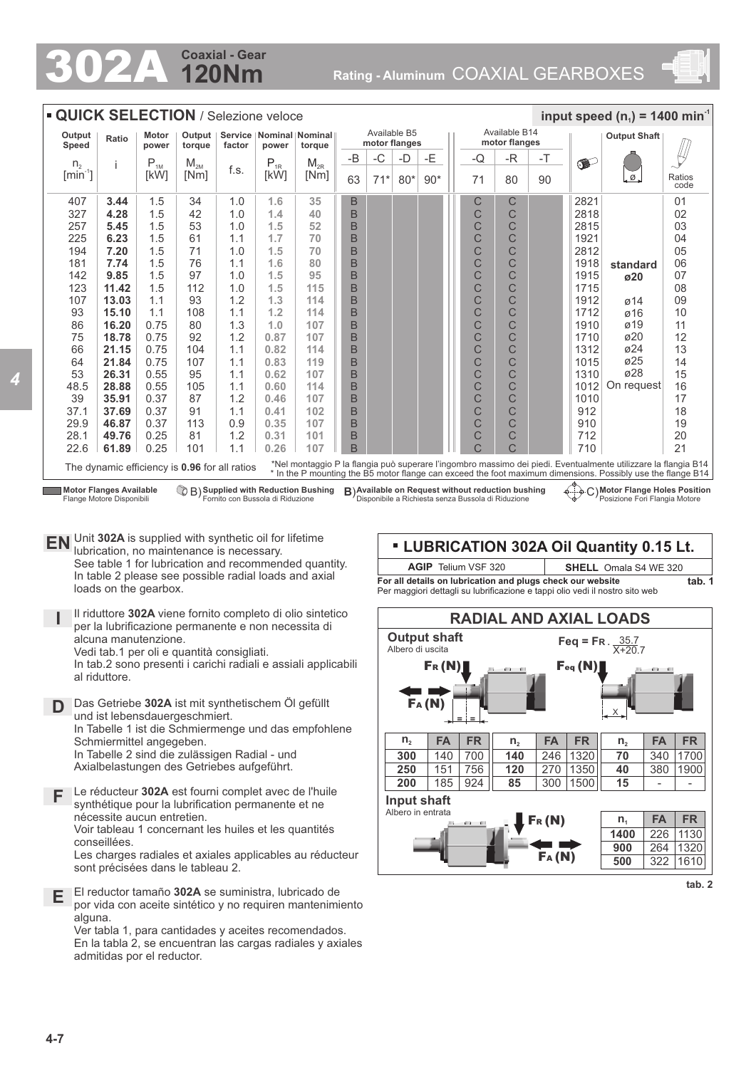# **120Nm Coaxial - Gear**

302A **Rating - Aluminum** COAXIAL GEARBOXES



| <b>QUICK SELECTION / Selezione veloce</b><br>input speed $(n_1)$ = 1400 min <sup>-1</sup> |                                                                                                                                                                                                                                                                                |                |                    |                                                            |          |          |                               |       |       |       |  |                                |    |      |           |                          |                |
|-------------------------------------------------------------------------------------------|--------------------------------------------------------------------------------------------------------------------------------------------------------------------------------------------------------------------------------------------------------------------------------|----------------|--------------------|------------------------------------------------------------|----------|----------|-------------------------------|-------|-------|-------|--|--------------------------------|----|------|-----------|--------------------------|----------------|
| Output<br>Speed                                                                           | Ratio                                                                                                                                                                                                                                                                          | Motor<br>power | Output  <br>torque | Service   Nominal   Nominal  <br>factor<br>power<br>torque |          |          | Available B5<br>motor flanges |       |       |       |  | Available B14<br>motor flanges |    |      |           |                          |                |
| n <sub>2</sub>                                                                            | i                                                                                                                                                                                                                                                                              | $P_{1M}$       | $M_{2M}$           |                                                            | $P_{1R}$ | $M_{2R}$ | $-B$                          | $-C$  | -D    | $-E$  |  | -Q                             | -R | $-T$ | $\bullet$ |                          |                |
| $[min^{-1}]$                                                                              |                                                                                                                                                                                                                                                                                | [kW]           | [Nm]               | f.s.                                                       | [kW]     | [Nm]     | 63                            | $71*$ | $80*$ | $90*$ |  | 71                             | 80 | 90   |           | $\overline{\mathcal{Q}}$ | Ratios<br>code |
| 407                                                                                       | 3.44                                                                                                                                                                                                                                                                           | 1.5            | 34                 | 1.0                                                        | 1.6      | 35       | B                             |       |       |       |  | С                              | C  |      | 2821      |                          | 01             |
| 327                                                                                       | 4.28                                                                                                                                                                                                                                                                           | 1.5            | 42                 | 1.0                                                        | 1.4      | 40       | B                             |       |       |       |  | C                              | Ċ  |      | 2818      |                          | 02             |
| 257                                                                                       | 5.45                                                                                                                                                                                                                                                                           | 1.5            | 53                 | 1.0                                                        | 1.5      | 52       | B                             |       |       |       |  | C                              | Ċ  |      | 2815      |                          | 03             |
| 225                                                                                       | 6.23                                                                                                                                                                                                                                                                           | 1.5            | 61                 | 1.1                                                        | 1.7      | 70       | B                             |       |       |       |  | C                              | C  |      | 1921      |                          | 04             |
| 194                                                                                       | 7.20                                                                                                                                                                                                                                                                           | 1.5            | 71                 | 1.0                                                        | 1.5      | 70       | B                             |       |       |       |  | C                              | Ċ  |      | 2812      |                          | 05             |
| 181                                                                                       | 7.74                                                                                                                                                                                                                                                                           | 1.5            | 76                 | 1.1                                                        | 1.6      | 80       | B                             |       |       |       |  | C                              | C  |      | 1918      | standard                 | 06             |
| 142                                                                                       | 9.85                                                                                                                                                                                                                                                                           | 1.5            | 97                 | 1.0                                                        | 1.5      | 95       | B                             |       |       |       |  | C                              | C  |      | 1915      | ø20                      | 07             |
| 123                                                                                       | 11.42                                                                                                                                                                                                                                                                          | 1.5            | 112                | 1.0                                                        | 1.5      | 115      | B                             |       |       |       |  | C                              | Ċ  |      | 1715      |                          | 08             |
| 107                                                                                       | 13.03                                                                                                                                                                                                                                                                          | 1.1            | 93                 | 1.2                                                        | 1.3      | 114      | B                             |       |       |       |  | C                              | C  |      | 1912      | $\varnothing$ 14         | 09             |
| 93                                                                                        | 15.10                                                                                                                                                                                                                                                                          | 1.1            | 108                | 1.1                                                        | 1.2      | 114      | B                             |       |       |       |  | C                              | C  |      | 1712      | $\varnothing$ 16         | 10             |
| 86                                                                                        | 16.20                                                                                                                                                                                                                                                                          | 0.75           | 80                 | 1.3                                                        | 1.0      | 107      | B                             |       |       |       |  | C                              | C  |      | 1910      | $\varnothing$ 19         | 11             |
| 75                                                                                        | 18.78                                                                                                                                                                                                                                                                          | 0.75           | 92                 | 1.2                                                        | 0.87     | 107      | B                             |       |       |       |  | C                              | Ć  |      | 1710      | ø20                      | 12             |
| 66                                                                                        | 21.15                                                                                                                                                                                                                                                                          | 0.75           | 104                | 1.1                                                        | 0.82     | 114      | B                             |       |       |       |  | C                              | C  |      | 1312      | ø24                      | 13             |
| 64                                                                                        | 21.84                                                                                                                                                                                                                                                                          | 0.75           | 107                | 1.1                                                        | 0.83     | 119      | B                             |       |       |       |  | C                              | Ċ  |      | 1015      | $\varnothing$ 25         | 14             |
| 53                                                                                        | 26.31                                                                                                                                                                                                                                                                          | 0.55           | 95                 | 1.1                                                        | 0.62     | 107      | B                             |       |       |       |  | $\frac{C}{C}$                  | C  |      | 1310      | ø28                      | 15             |
| 48.5                                                                                      | 28.88                                                                                                                                                                                                                                                                          | 0.55           | 105                | 1.1                                                        | 0.60     | 114      | B                             |       |       |       |  |                                | C  |      | 1012      | On request               | 16             |
| 39                                                                                        | 35.91                                                                                                                                                                                                                                                                          | 0.37           | 87                 | 1.2                                                        | 0.46     | 107      | B                             |       |       |       |  | C                              | C  |      | 1010      |                          | 17             |
| 37.1                                                                                      | 37.69                                                                                                                                                                                                                                                                          | 0.37           | 91                 | 1.1                                                        | 0.41     | 102      | B                             |       |       |       |  | C                              | Ć  |      | 912       |                          | 18             |
| 29.9                                                                                      | 46.87                                                                                                                                                                                                                                                                          | 0.37           | 113                | 0.9                                                        | 0.35     | 107      | B                             |       |       |       |  | C                              | Ć  |      | 910       |                          | 19             |
| 28.1                                                                                      | 49.76                                                                                                                                                                                                                                                                          | 0.25           | 81                 | 1.2                                                        | 0.31     | 101      | B                             |       |       |       |  | C                              | C  |      | 712       |                          | 20             |
| 22.6                                                                                      | 61.89                                                                                                                                                                                                                                                                          | 0.25           | 101                | 1.1                                                        | 0.26     | 107      | B                             |       |       |       |  | C                              | Ċ  |      | 710       |                          | 21             |
|                                                                                           | *Nel montaggio P la flangia può superare l'ingombro massimo dei piedi. Eventualmente utilizzare la flangia B14<br>The dynamic efficiency is 0.96 for all ratios<br>* In the P mounting the B5 motor flange can exceed the foot maximum dimensions. Possibly use the flange B14 |                |                    |                                                            |          |          |                               |       |       |       |  |                                |    |      |           |                          |                |

**Motor Flanges Available** Flange Motore Disponibili

**Supplied with Reduction Bushing** Fornito con Bussola di Riduzione

**Available on Request without reduction bushing** Disponibile a Richiesta senza Bussola di Riduzione B) **B**) C)

**Motor Flange Holes Position** Posizione Fori Flangia Motore

**EN** Unit **302A** is supplied with synthetic oil for lifetime lubrication, no maintenance is necessary. See table 1 for lubrication and recommended quantity. In table 2 please see possible radial loads and axial loads on the gearbox.

**I** Il riduttore **302A** viene fornito completo di olio sintetico per la lubrificazione permanente e non necessita di alcuna manutenzione. Vedi tab.1 per oli e quantità consigliati.

In tab.2 sono presenti i carichi radiali e assiali applicabili al riduttore.

- **D** Das Getriebe **302A** ist mit synthetischem Öl gefüllt und ist lebensdauergeschmiert. In Tabelle 1 ist die Schmiermenge und das empfohlene Schmiermittel angegeben. In Tabelle 2 sind die zulässigen Radial - und Axialbelastungen des Getriebes aufgeführt.
- **F** Le réducteur **302A** est fourni complet avec de l'huile synthétique pour la lubrification permanente et ne nécessite aucun entretien. Voir tableau 1 concernant les huiles et les quantités conseillées. Les charges radiales et axiales applicables au réducteur

sont précisées dans le tableau 2.

**E** El reductor tamaño **302A** se suministra, lubricado de por vida con aceite sintético y no requiren mantenimiento alguna.

Ver tabla 1, para cantidades y aceites recomendados. En la tabla 2, se encuentran las cargas radiales y axiales admitidas por el reductor.

### **LUBRICATION 302A Oil Quantity 0.15 Lt. tab. 1 AGIP** Telium VSF 320 **SHELL** Omala S4 WE 320

**For all details on lubrication and plugs check our website**  Per maggiori dettagli su lubrificazione e tappi olio vedi il nostro sito web



**tab. 2**